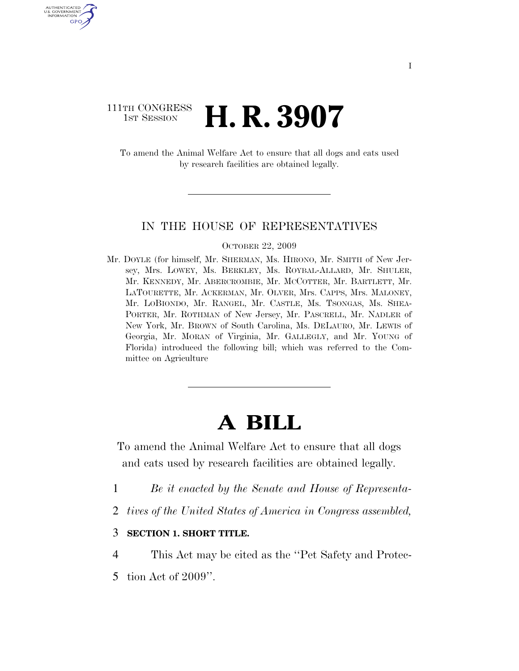# 111TH CONGRESS **1st Session H. R. 3907**

U.S. GOVERNMENT GPO

> To amend the Animal Welfare Act to ensure that all dogs and cats used by research facilities are obtained legally.

#### IN THE HOUSE OF REPRESENTATIVES

#### OCTOBER 22, 2009

Mr. DOYLE (for himself, Mr. SHERMAN, Ms. HIRONO, Mr. SMITH of New Jersey, Mrs. LOWEY, Ms. BERKLEY, Ms. ROYBAL-ALLARD, Mr. SHULER, Mr. KENNEDY, Mr. ABERCROMBIE, Mr. MCCOTTER, Mr. BARTLETT, Mr. LATOURETTE, Mr. ACKERMAN, Mr. OLVER, Mrs. CAPPS, Mrs. MALONEY, Mr. LOBIONDO, Mr. RANGEL, Mr. CASTLE, Ms. TSONGAS, Ms. SHEA-PORTER, Mr. ROTHMAN of New Jersey, Mr. PASCRELL, Mr. NADLER of New York, Mr. BROWN of South Carolina, Ms. DELAURO, Mr. LEWIS of Georgia, Mr. MORAN of Virginia, Mr. GALLEGLY, and Mr. YOUNG of Florida) introduced the following bill; which was referred to the Committee on Agriculture

# **A BILL**

To amend the Animal Welfare Act to ensure that all dogs and cats used by research facilities are obtained legally.

- 1 *Be it enacted by the Senate and House of Representa-*
- 2 *tives of the United States of America in Congress assembled,*

#### 3 **SECTION 1. SHORT TITLE.**

- 4 This Act may be cited as the ''Pet Safety and Protec-
- 5 tion Act of 2009''.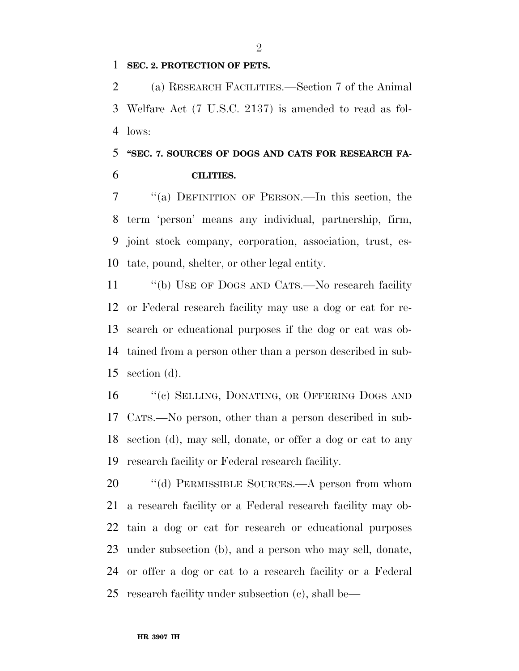#### **SEC. 2. PROTECTION OF PETS.**

 (a) RESEARCH FACILITIES.—Section 7 of the Animal Welfare Act (7 U.S.C. 2137) is amended to read as fol-lows:

# **''SEC. 7. SOURCES OF DOGS AND CATS FOR RESEARCH FA-CILITIES.**

 ''(a) DEFINITION OF PERSON.—In this section, the term 'person' means any individual, partnership, firm, joint stock company, corporation, association, trust, es-tate, pound, shelter, or other legal entity.

11 "(b) USE OF DOGS AND CATS.—No research facility or Federal research facility may use a dog or cat for re- search or educational purposes if the dog or cat was ob- tained from a person other than a person described in sub-section (d).

16 "(c) SELLING, DONATING, OR OFFERING DOGS AND CATS.—No person, other than a person described in sub- section (d), may sell, donate, or offer a dog or cat to any research facility or Federal research facility.

20 "(d) PERMISSIBLE SOURCES.—A person from whom a research facility or a Federal research facility may ob- tain a dog or cat for research or educational purposes under subsection (b), and a person who may sell, donate, or offer a dog or cat to a research facility or a Federal research facility under subsection (c), shall be—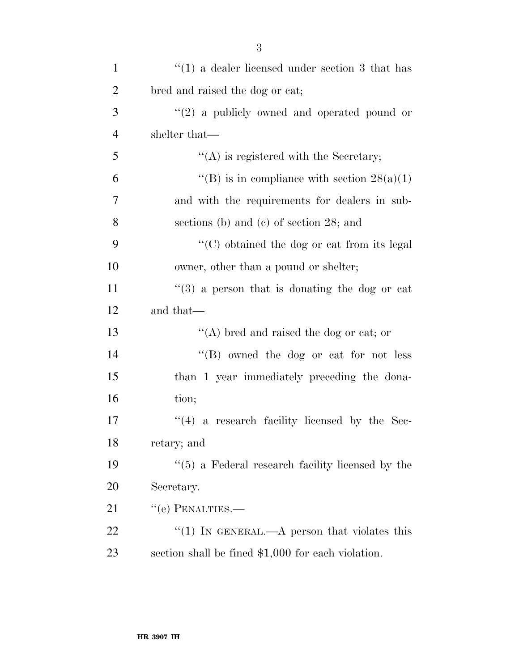| $\mathbf{1}$   | $\cdot$ (1) a dealer licensed under section 3 that has           |
|----------------|------------------------------------------------------------------|
| $\overline{2}$ | bred and raised the dog or cat;                                  |
| 3              | $(2)$ a publicly owned and operated pound or                     |
| $\overline{4}$ | shelter that—                                                    |
| 5              | $\lq\lq$ is registered with the Secretary;                       |
| 6              | "(B) is in compliance with section $28(a)(1)$                    |
| 7              | and with the requirements for dealers in sub-                    |
| 8              | sections (b) and (c) of section $28$ ; and                       |
| 9              | $\lq\lq$ <sup>c</sup> (C) obtained the dog or cat from its legal |
| 10             | owner, other than a pound or shelter;                            |
| 11             | $\cdot\cdot(3)$ a person that is donating the dog or cat         |
| 12             | and that—                                                        |
| 13             | "(A) bred and raised the dog or cat; or                          |
| 14             | "(B) owned the dog or cat for not less                           |
| 15             | than 1 year immediately preceding the dona-                      |
| 16             | tion;                                                            |
| 17             | $(4)$ a research facility licensed by the Sec-                   |
| 18             | retary; and                                                      |
| 19             | $\lq(5)$ a Federal research facility licensed by the             |
| 20             | Secretary.                                                       |
| 21             | $``$ (e) PENALTIES.—                                             |
| 22             | "(1) IN GENERAL.—A person that violates this                     |
| 23             | section shall be fined $$1,000$ for each violation.              |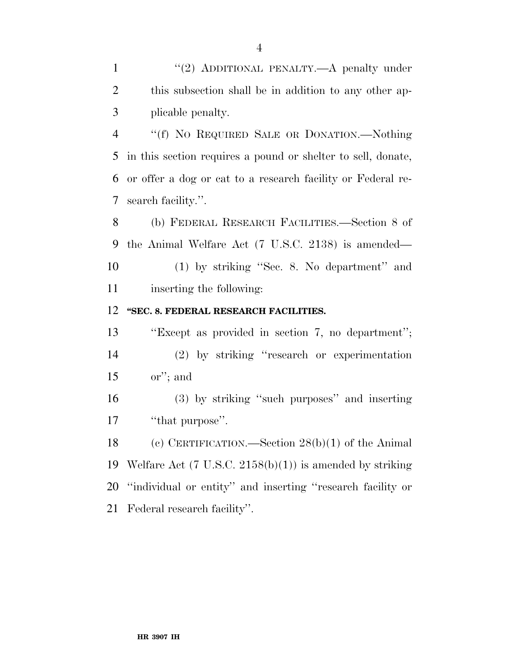plicable penalty.

 ''(f) NO REQUIRED SALE OR DONATION.—Nothing in this section requires a pound or shelter to sell, donate, or offer a dog or cat to a research facility or Federal re-search facility.''.

 (b) FEDERAL RESEARCH FACILITIES.—Section 8 of the Animal Welfare Act (7 U.S.C. 2138) is amended— (1) by striking ''Sec. 8. No department'' and inserting the following:

### **''SEC. 8. FEDERAL RESEARCH FACILITIES.**

 ''Except as provided in section 7, no department''; (2) by striking ''research or experimentation or''; and

 (3) by striking ''such purposes'' and inserting 17 "that purpose".

 (c) CERTIFICATION.—Section 28(b)(1) of the Animal Welfare Act (7 U.S.C. 2158(b)(1)) is amended by striking ''individual or entity'' and inserting ''research facility or Federal research facility''.